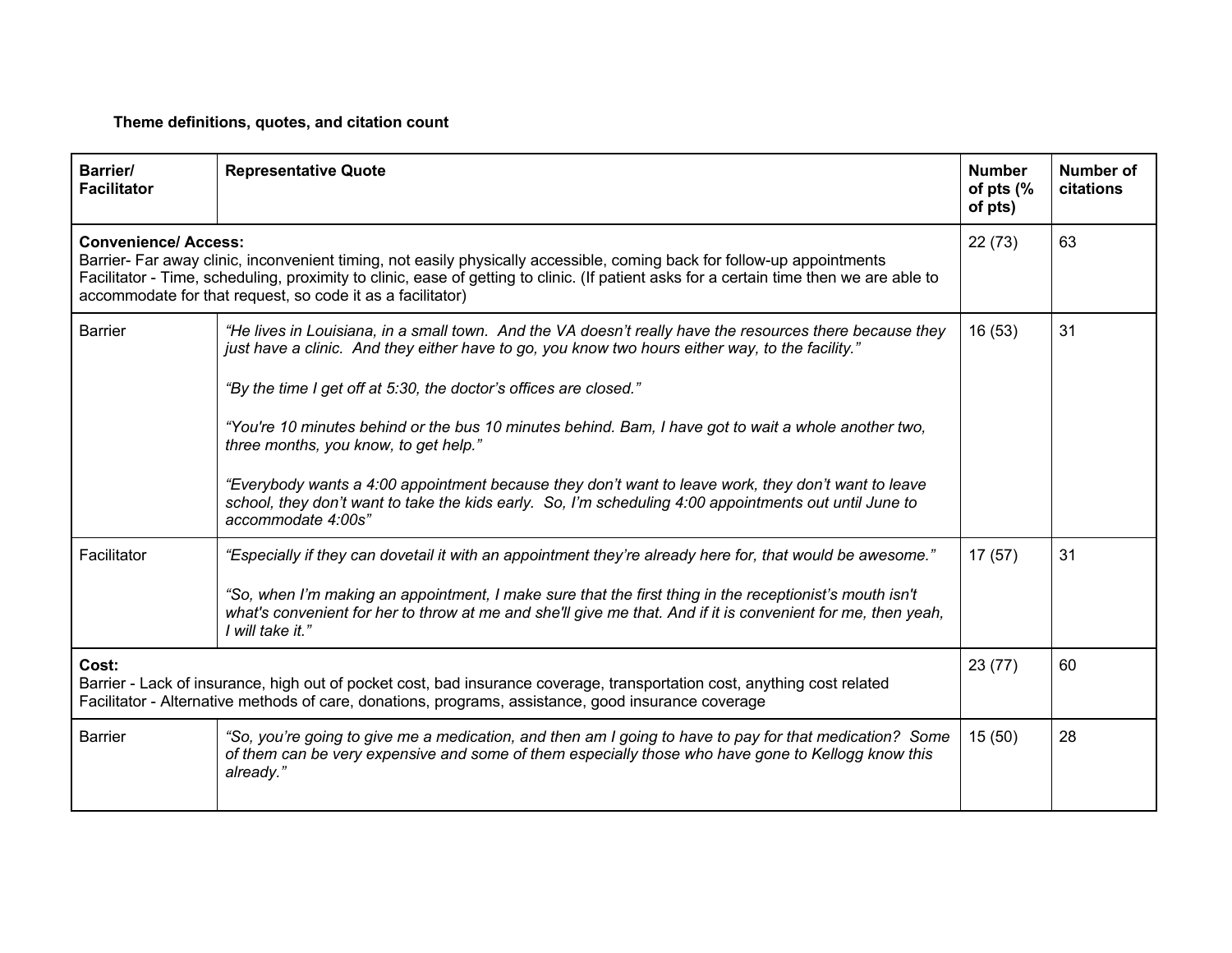**Theme definitions, quotes, and citation count**

| <b>Barrier/</b><br><b>Facilitator</b>                                                                                                                                                                                                                                                                                                                          | <b>Representative Quote</b>                                                                                                                                                                                                                 | <b>Number</b><br>of pts (%<br>of pts) | Number of<br>citations |
|----------------------------------------------------------------------------------------------------------------------------------------------------------------------------------------------------------------------------------------------------------------------------------------------------------------------------------------------------------------|---------------------------------------------------------------------------------------------------------------------------------------------------------------------------------------------------------------------------------------------|---------------------------------------|------------------------|
| <b>Convenience/Access:</b><br>Barrier- Far away clinic, inconvenient timing, not easily physically accessible, coming back for follow-up appointments<br>Facilitator - Time, scheduling, proximity to clinic, ease of getting to clinic. (If patient asks for a certain time then we are able to<br>accommodate for that request, so code it as a facilitator) |                                                                                                                                                                                                                                             | 22(73)                                | 63                     |
| Barrier                                                                                                                                                                                                                                                                                                                                                        | "He lives in Louisiana, in a small town. And the VA doesn't really have the resources there because they<br>just have a clinic. And they either have to go, you know two hours either way, to the facility."                                | 16(53)                                | 31                     |
|                                                                                                                                                                                                                                                                                                                                                                | "By the time I get off at 5:30, the doctor's offices are closed."                                                                                                                                                                           |                                       |                        |
|                                                                                                                                                                                                                                                                                                                                                                | "You're 10 minutes behind or the bus 10 minutes behind. Bam, I have got to wait a whole another two,<br>three months, you know, to get help."                                                                                               |                                       |                        |
|                                                                                                                                                                                                                                                                                                                                                                | "Everybody wants a 4:00 appointment because they don't want to leave work, they don't want to leave<br>school, they don't want to take the kids early. So, I'm scheduling 4:00 appointments out until June to<br>accommodate 4:00s"         |                                       |                        |
| Facilitator                                                                                                                                                                                                                                                                                                                                                    | "Especially if they can dovetail it with an appointment they're already here for, that would be awesome."                                                                                                                                   | 17(57)                                | 31                     |
|                                                                                                                                                                                                                                                                                                                                                                | "So, when I'm making an appointment, I make sure that the first thing in the receptionist's mouth isn't<br>what's convenient for her to throw at me and she'll give me that. And if it is convenient for me, then yeah,<br>I will take it." |                                       |                        |
| Cost:<br>Barrier - Lack of insurance, high out of pocket cost, bad insurance coverage, transportation cost, anything cost related<br>Facilitator - Alternative methods of care, donations, programs, assistance, good insurance coverage                                                                                                                       |                                                                                                                                                                                                                                             | 23(77)                                | 60                     |
| <b>Barrier</b>                                                                                                                                                                                                                                                                                                                                                 | "So, you're going to give me a medication, and then am I going to have to pay for that medication? Some<br>of them can be very expensive and some of them especially those who have gone to Kellogg know this<br>already."                  | 15(50)                                | 28                     |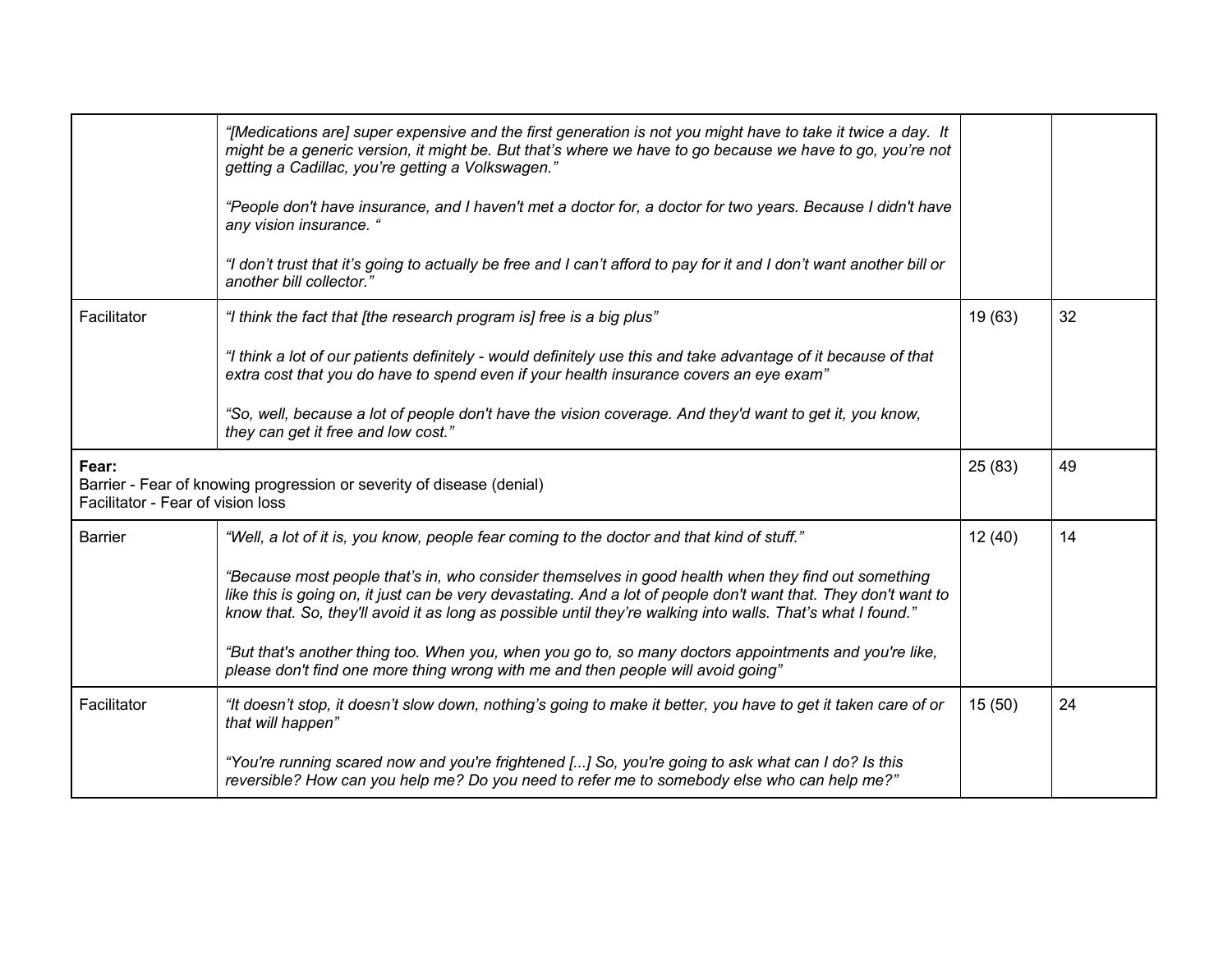|                                            | "[Medications are] super expensive and the first generation is not you might have to take it twice a day. It<br>might be a generic version, it might be. But that's where we have to go because we have to go, you're not<br>getting a Cadillac, you're getting a Volkswagen."                                                        |         |    |
|--------------------------------------------|---------------------------------------------------------------------------------------------------------------------------------------------------------------------------------------------------------------------------------------------------------------------------------------------------------------------------------------|---------|----|
|                                            | "People don't have insurance, and I haven't met a doctor for, a doctor for two years. Because I didn't have<br>any vision insurance. "                                                                                                                                                                                                |         |    |
|                                            | "I don't trust that it's going to actually be free and I can't afford to pay for it and I don't want another bill or<br>another bill collector."                                                                                                                                                                                      |         |    |
| Facilitator                                | "I think the fact that [the research program is] free is a big plus"                                                                                                                                                                                                                                                                  | 19 (63) | 32 |
|                                            | "I think a lot of our patients definitely - would definitely use this and take advantage of it because of that<br>extra cost that you do have to spend even if your health insurance covers an eye exam"                                                                                                                              |         |    |
|                                            | "So, well, because a lot of people don't have the vision coverage. And they'd want to get it, you know,<br>they can get it free and low cost."                                                                                                                                                                                        |         |    |
| Fear:<br>Facilitator - Fear of vision loss | Barrier - Fear of knowing progression or severity of disease (denial)                                                                                                                                                                                                                                                                 | 25(83)  | 49 |
| <b>Barrier</b>                             | "Well, a lot of it is, you know, people fear coming to the doctor and that kind of stuff."                                                                                                                                                                                                                                            | 12(40)  | 14 |
|                                            | "Because most people that's in, who consider themselves in good health when they find out something<br>like this is going on, it just can be very devastating. And a lot of people don't want that. They don't want to<br>know that. So, they'll avoid it as long as possible until they're walking into walls. That's what I found." |         |    |
|                                            | "But that's another thing too. When you, when you go to, so many doctors appointments and you're like,<br>please don't find one more thing wrong with me and then people will avoid going"                                                                                                                                            |         |    |
| Facilitator                                | "It doesn't stop, it doesn't slow down, nothing's going to make it better, you have to get it taken care of or<br>that will happen"                                                                                                                                                                                                   | 15(50)  | 24 |
|                                            | "You're running scared now and you're frightened [] So, you're going to ask what can I do? Is this<br>reversible? How can you help me? Do you need to refer me to somebody else who can help me?"                                                                                                                                     |         |    |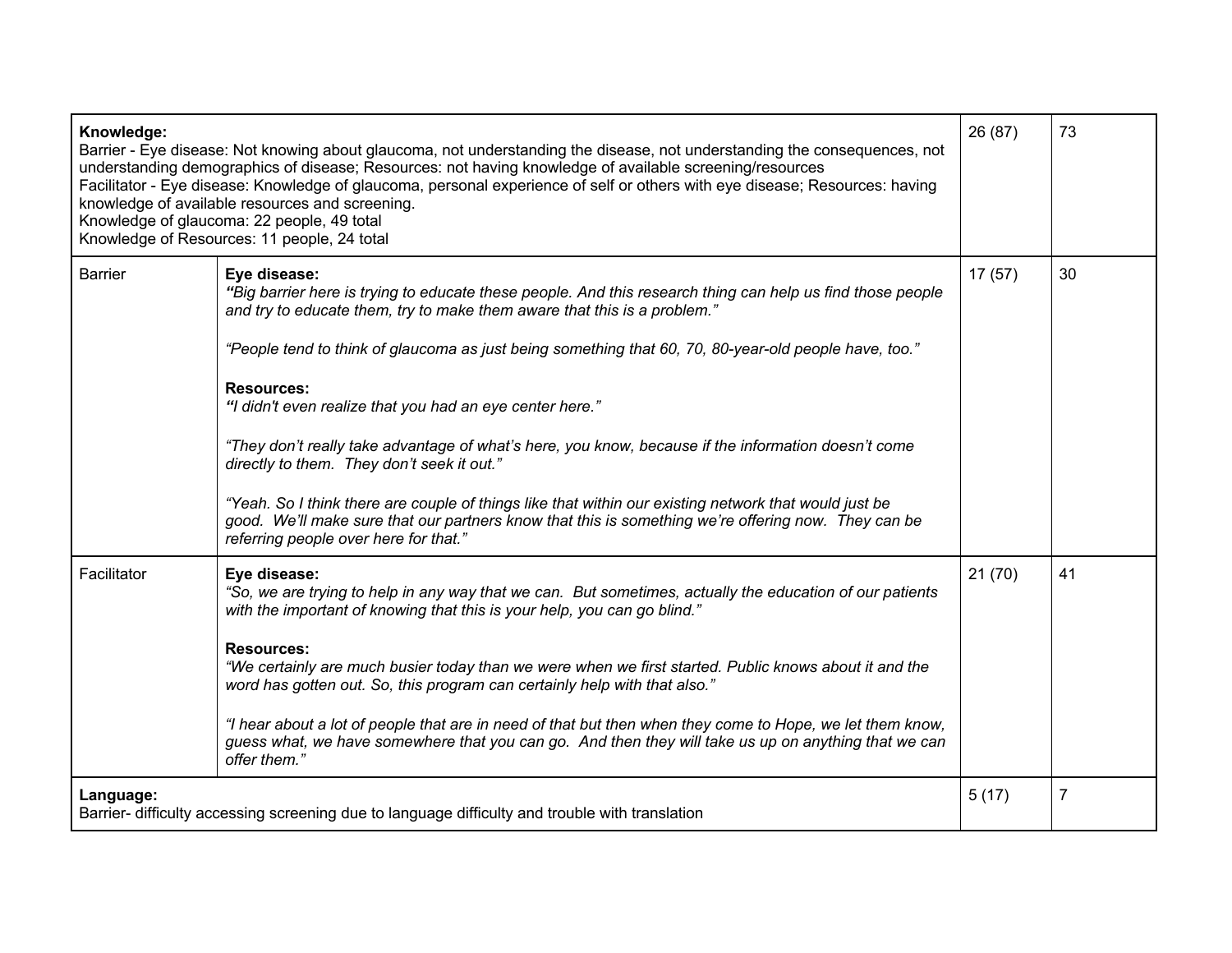| Knowledge:<br>Barrier - Eye disease: Not knowing about glaucoma, not understanding the disease, not understanding the consequences, not<br>understanding demographics of disease; Resources: not having knowledge of available screening/resources<br>Facilitator - Eye disease: Knowledge of glaucoma, personal experience of self or others with eye disease; Resources: having<br>knowledge of available resources and screening.<br>Knowledge of glaucoma: 22 people, 49 total<br>Knowledge of Resources: 11 people, 24 total |                                                                                                                                                                                                                                                                                                                 | 26 (87) | 73 |
|-----------------------------------------------------------------------------------------------------------------------------------------------------------------------------------------------------------------------------------------------------------------------------------------------------------------------------------------------------------------------------------------------------------------------------------------------------------------------------------------------------------------------------------|-----------------------------------------------------------------------------------------------------------------------------------------------------------------------------------------------------------------------------------------------------------------------------------------------------------------|---------|----|
| <b>Barrier</b>                                                                                                                                                                                                                                                                                                                                                                                                                                                                                                                    | Eye disease:<br>"Big barrier here is trying to educate these people. And this research thing can help us find those people<br>and try to educate them, try to make them aware that this is a problem."<br>"People tend to think of glaucoma as just being something that 60, 70, 80-year-old people have, too." | 17(57)  | 30 |
|                                                                                                                                                                                                                                                                                                                                                                                                                                                                                                                                   | <b>Resources:</b><br>"I didn't even realize that you had an eye center here."                                                                                                                                                                                                                                   |         |    |
|                                                                                                                                                                                                                                                                                                                                                                                                                                                                                                                                   | "They don't really take advantage of what's here, you know, because if the information doesn't come<br>directly to them. They don't seek it out."                                                                                                                                                               |         |    |
|                                                                                                                                                                                                                                                                                                                                                                                                                                                                                                                                   | "Yeah. So I think there are couple of things like that within our existing network that would just be<br>good. We'll make sure that our partners know that this is something we're offering now. They can be<br>referring people over here for that."                                                           |         |    |
| Facilitator                                                                                                                                                                                                                                                                                                                                                                                                                                                                                                                       | Eye disease:<br>"So, we are trying to help in any way that we can. But sometimes, actually the education of our patients<br>with the important of knowing that this is your help, you can go blind."                                                                                                            | 21(70)  | 41 |
|                                                                                                                                                                                                                                                                                                                                                                                                                                                                                                                                   | <b>Resources:</b><br>"We certainly are much busier today than we were when we first started. Public knows about it and the<br>word has gotten out. So, this program can certainly help with that also."                                                                                                         |         |    |
|                                                                                                                                                                                                                                                                                                                                                                                                                                                                                                                                   | "I hear about a lot of people that are in need of that but then when they come to Hope, we let them know,<br>guess what, we have somewhere that you can go. And then they will take us up on anything that we can<br>offer them."                                                                               |         |    |
| Language:<br>Barrier- difficulty accessing screening due to language difficulty and trouble with translation                                                                                                                                                                                                                                                                                                                                                                                                                      |                                                                                                                                                                                                                                                                                                                 | 5(17)   | 7  |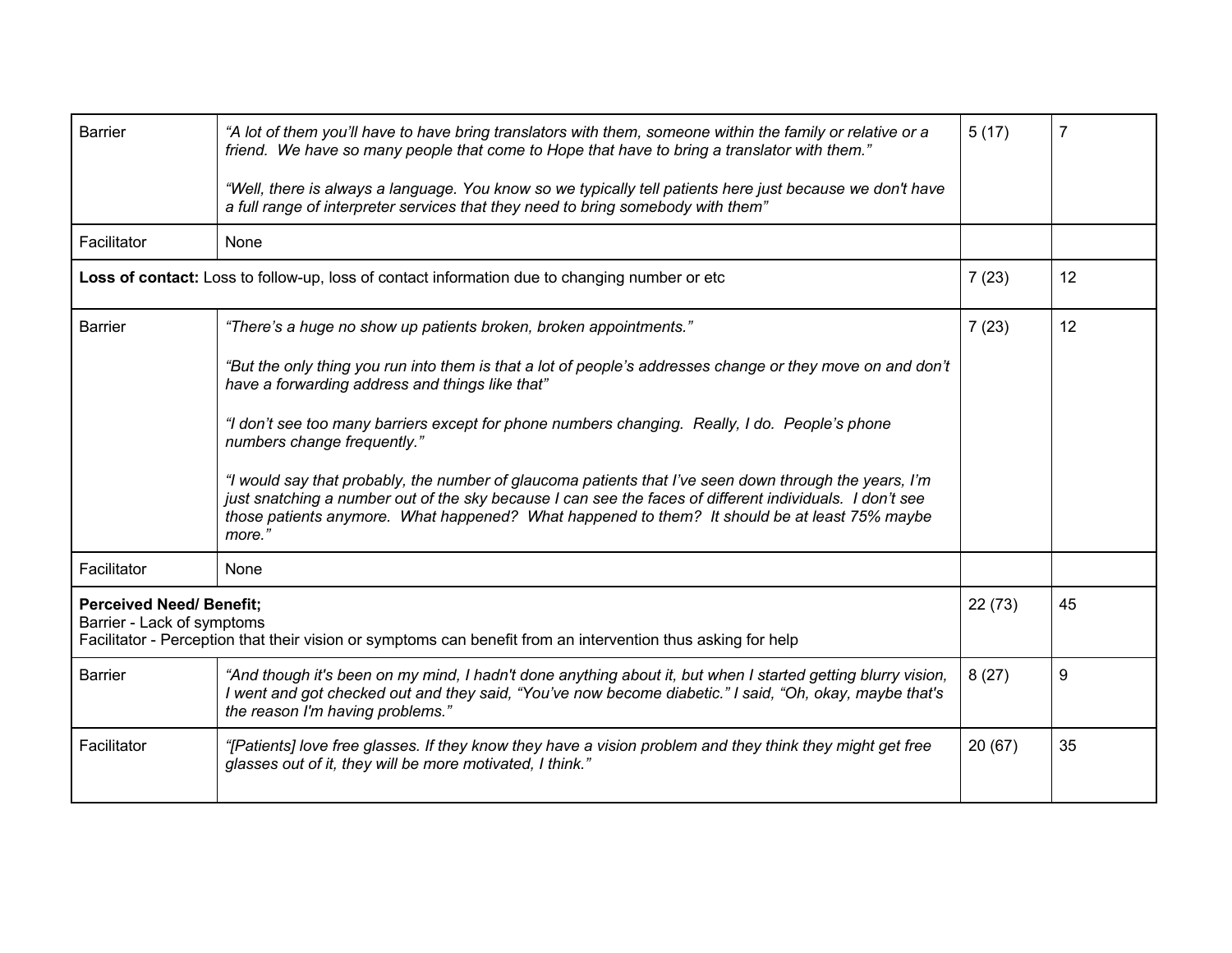| <b>Barrier</b>                                                                                                                                                                | "A lot of them you'll have to have bring translators with them, someone within the family or relative or a<br>friend. We have so many people that come to Hope that have to bring a translator with them."<br>"Well, there is always a language. You know so we typically tell patients here just because we don't have<br>a full range of interpreter services that they need to bring somebody with them" | 5(17)  | 7  |
|-------------------------------------------------------------------------------------------------------------------------------------------------------------------------------|-------------------------------------------------------------------------------------------------------------------------------------------------------------------------------------------------------------------------------------------------------------------------------------------------------------------------------------------------------------------------------------------------------------|--------|----|
| Facilitator                                                                                                                                                                   | None                                                                                                                                                                                                                                                                                                                                                                                                        |        |    |
|                                                                                                                                                                               | Loss of contact: Loss to follow-up, loss of contact information due to changing number or etc                                                                                                                                                                                                                                                                                                               | 7(23)  | 12 |
| <b>Barrier</b>                                                                                                                                                                | "There's a huge no show up patients broken, broken appointments."                                                                                                                                                                                                                                                                                                                                           | 7(23)  | 12 |
|                                                                                                                                                                               | "But the only thing you run into them is that a lot of people's addresses change or they move on and don't<br>have a forwarding address and things like that"                                                                                                                                                                                                                                               |        |    |
|                                                                                                                                                                               | "I don't see too many barriers except for phone numbers changing. Really, I do. People's phone<br>numbers change frequently."                                                                                                                                                                                                                                                                               |        |    |
|                                                                                                                                                                               | "I would say that probably, the number of glaucoma patients that I've seen down through the years, I'm<br>just snatching a number out of the sky because I can see the faces of different individuals. I don't see<br>those patients anymore. What happened? What happened to them? It should be at least 75% maybe<br>more."                                                                               |        |    |
| Facilitator                                                                                                                                                                   | None                                                                                                                                                                                                                                                                                                                                                                                                        |        |    |
| <b>Perceived Need/ Benefit;</b><br>Barrier - Lack of symptoms<br>Facilitator - Perception that their vision or symptoms can benefit from an intervention thus asking for help |                                                                                                                                                                                                                                                                                                                                                                                                             | 22(73) | 45 |
| <b>Barrier</b>                                                                                                                                                                | "And though it's been on my mind, I hadn't done anything about it, but when I started getting blurry vision,<br>I went and got checked out and they said, "You've now become diabetic." I said, "Oh, okay, maybe that's<br>the reason I'm having problems."                                                                                                                                                 | 8(27)  | 9  |
| Facilitator                                                                                                                                                                   | "[Patients] love free glasses. If they know they have a vision problem and they think they might get free<br>glasses out of it, they will be more motivated, I think."                                                                                                                                                                                                                                      | 20(67) | 35 |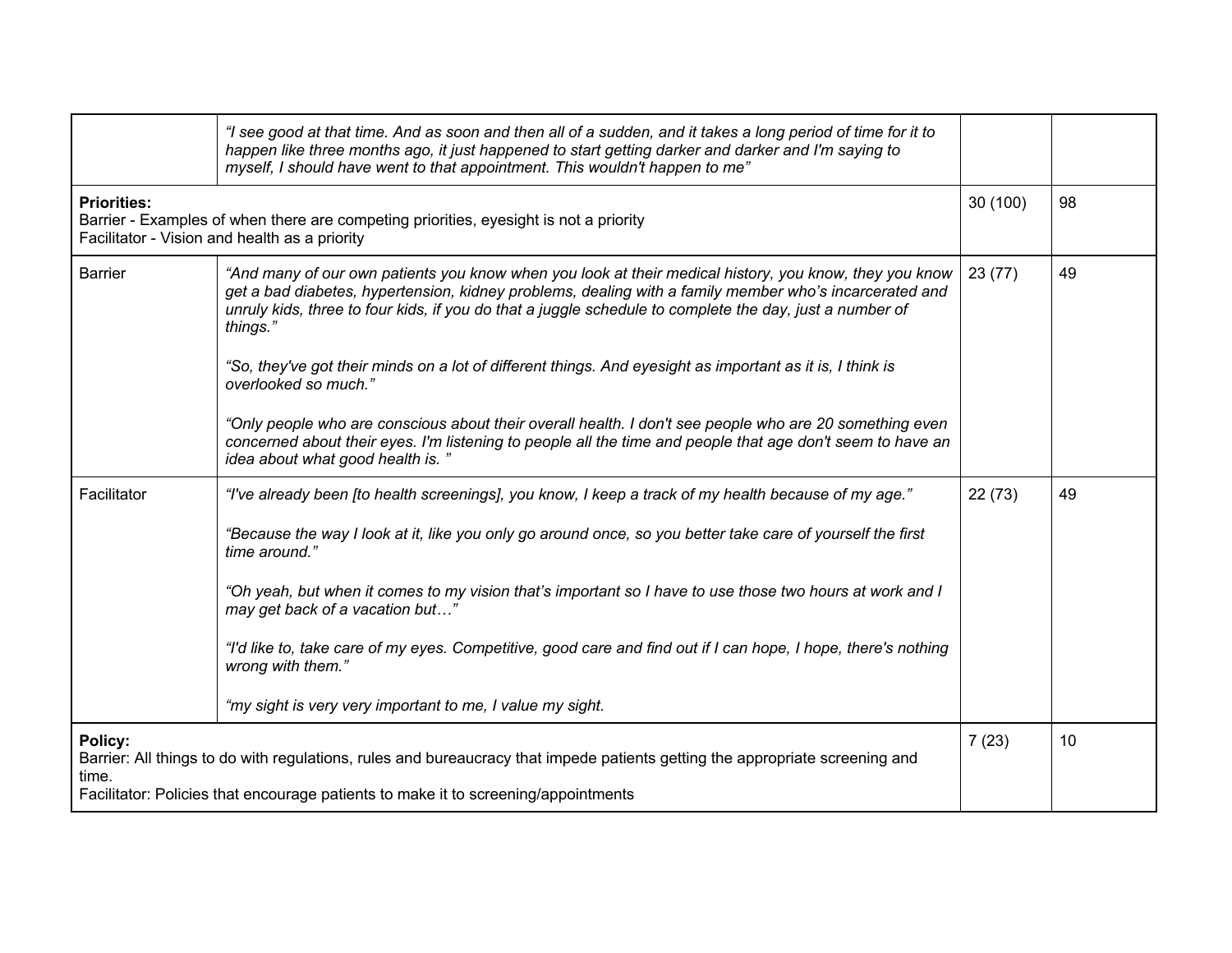|                                                                                                                                                                                                                                        | "I see good at that time. And as soon and then all of a sudden, and it takes a long period of time for it to<br>happen like three months ago, it just happened to start getting darker and darker and I'm saying to<br>myself, I should have went to that appointment. This wouldn't happen to me"                                                                                                                                                                                                                                                                                     |          |    |
|----------------------------------------------------------------------------------------------------------------------------------------------------------------------------------------------------------------------------------------|----------------------------------------------------------------------------------------------------------------------------------------------------------------------------------------------------------------------------------------------------------------------------------------------------------------------------------------------------------------------------------------------------------------------------------------------------------------------------------------------------------------------------------------------------------------------------------------|----------|----|
| <b>Priorities:</b><br>Barrier - Examples of when there are competing priorities, eyesight is not a priority<br>Facilitator - Vision and health as a priority                                                                           |                                                                                                                                                                                                                                                                                                                                                                                                                                                                                                                                                                                        | 30 (100) | 98 |
| <b>Barrier</b>                                                                                                                                                                                                                         | "And many of our own patients you know when you look at their medical history, you know, they you know<br>get a bad diabetes, hypertension, kidney problems, dealing with a family member who's incarcerated and<br>unruly kids, three to four kids, if you do that a juggle schedule to complete the day, just a number of<br>things."<br>"So, they've got their minds on a lot of different things. And eyesight as important as it is, I think is<br>overlooked so much."                                                                                                           | 23(77)   | 49 |
|                                                                                                                                                                                                                                        | "Only people who are conscious about their overall health. I don't see people who are 20 something even<br>concerned about their eyes. I'm listening to people all the time and people that age don't seem to have an<br>idea about what good health is."                                                                                                                                                                                                                                                                                                                              |          |    |
| Facilitator                                                                                                                                                                                                                            | "I've already been [to health screenings], you know, I keep a track of my health because of my age."<br>"Because the way I look at it, like you only go around once, so you better take care of yourself the first<br>time around."<br>"Oh yeah, but when it comes to my vision that's important so I have to use those two hours at work and I<br>may get back of a vacation but"<br>"I'd like to, take care of my eyes. Competitive, good care and find out if I can hope, I hope, there's nothing<br>wrong with them."<br>"my sight is very very important to me, I value my sight. | 22(73)   | 49 |
| Policy:<br>Barrier: All things to do with regulations, rules and bureaucracy that impede patients getting the appropriate screening and<br>time.<br>Facilitator: Policies that encourage patients to make it to screening/appointments |                                                                                                                                                                                                                                                                                                                                                                                                                                                                                                                                                                                        | 7(23)    | 10 |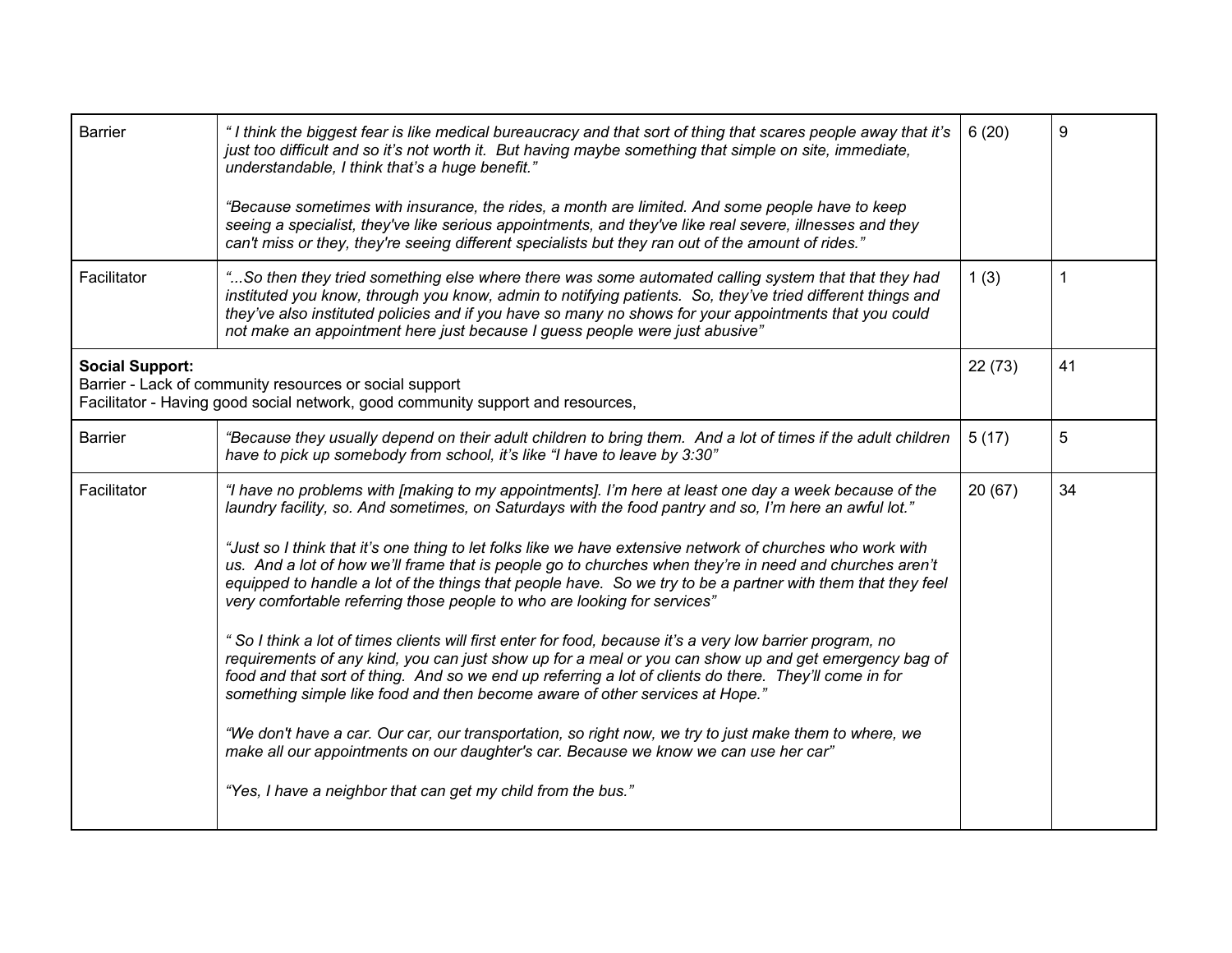| <b>Barrier</b>         | "I think the biggest fear is like medical bureaucracy and that sort of thing that scares people away that it's<br>just too difficult and so it's not worth it. But having maybe something that simple on site, immediate,<br>understandable, I think that's a huge benefit."                                                                                                                                                                                                                                                                                                                                                                                                                                                                                                                                                                                                                                                                                                                                                                                                                                                                                                                                                                                                                                           | 6(20)  | 9              |
|------------------------|------------------------------------------------------------------------------------------------------------------------------------------------------------------------------------------------------------------------------------------------------------------------------------------------------------------------------------------------------------------------------------------------------------------------------------------------------------------------------------------------------------------------------------------------------------------------------------------------------------------------------------------------------------------------------------------------------------------------------------------------------------------------------------------------------------------------------------------------------------------------------------------------------------------------------------------------------------------------------------------------------------------------------------------------------------------------------------------------------------------------------------------------------------------------------------------------------------------------------------------------------------------------------------------------------------------------|--------|----------------|
|                        | "Because sometimes with insurance, the rides, a month are limited. And some people have to keep<br>seeing a specialist, they've like serious appointments, and they've like real severe, illnesses and they<br>can't miss or they, they're seeing different specialists but they ran out of the amount of rides."                                                                                                                                                                                                                                                                                                                                                                                                                                                                                                                                                                                                                                                                                                                                                                                                                                                                                                                                                                                                      |        |                |
| Facilitator            | So then they tried something else where there was some automated calling system that that they had<br>instituted you know, through you know, admin to notifying patients. So, they've tried different things and<br>they've also instituted policies and if you have so many no shows for your appointments that you could<br>not make an appointment here just because I guess people were just abusive"                                                                                                                                                                                                                                                                                                                                                                                                                                                                                                                                                                                                                                                                                                                                                                                                                                                                                                              | 1(3)   | 1              |
| <b>Social Support:</b> | Barrier - Lack of community resources or social support<br>Facilitator - Having good social network, good community support and resources,                                                                                                                                                                                                                                                                                                                                                                                                                                                                                                                                                                                                                                                                                                                                                                                                                                                                                                                                                                                                                                                                                                                                                                             | 22(73) | 41             |
| <b>Barrier</b>         | "Because they usually depend on their adult children to bring them. And a lot of times if the adult children<br>have to pick up somebody from school, it's like "I have to leave by 3:30"                                                                                                                                                                                                                                                                                                                                                                                                                                                                                                                                                                                                                                                                                                                                                                                                                                                                                                                                                                                                                                                                                                                              | 5(17)  | $\overline{5}$ |
| Facilitator            | "I have no problems with [making to my appointments]. I'm here at least one day a week because of the<br>laundry facility, so. And sometimes, on Saturdays with the food pantry and so, I'm here an awful lot."<br>"Just so I think that it's one thing to let folks like we have extensive network of churches who work with<br>us. And a lot of how we'll frame that is people go to churches when they're in need and churches aren't<br>equipped to handle a lot of the things that people have. So we try to be a partner with them that they feel<br>very comfortable referring those people to who are looking for services"<br>" So I think a lot of times clients will first enter for food, because it's a very low barrier program, no<br>requirements of any kind, you can just show up for a meal or you can show up and get emergency bag of<br>food and that sort of thing. And so we end up referring a lot of clients do there. They'll come in for<br>something simple like food and then become aware of other services at Hope."<br>"We don't have a car. Our car, our transportation, so right now, we try to just make them to where, we<br>make all our appointments on our daughter's car. Because we know we can use her car"<br>"Yes, I have a neighbor that can get my child from the bus." | 20(67) | 34             |
|                        |                                                                                                                                                                                                                                                                                                                                                                                                                                                                                                                                                                                                                                                                                                                                                                                                                                                                                                                                                                                                                                                                                                                                                                                                                                                                                                                        |        |                |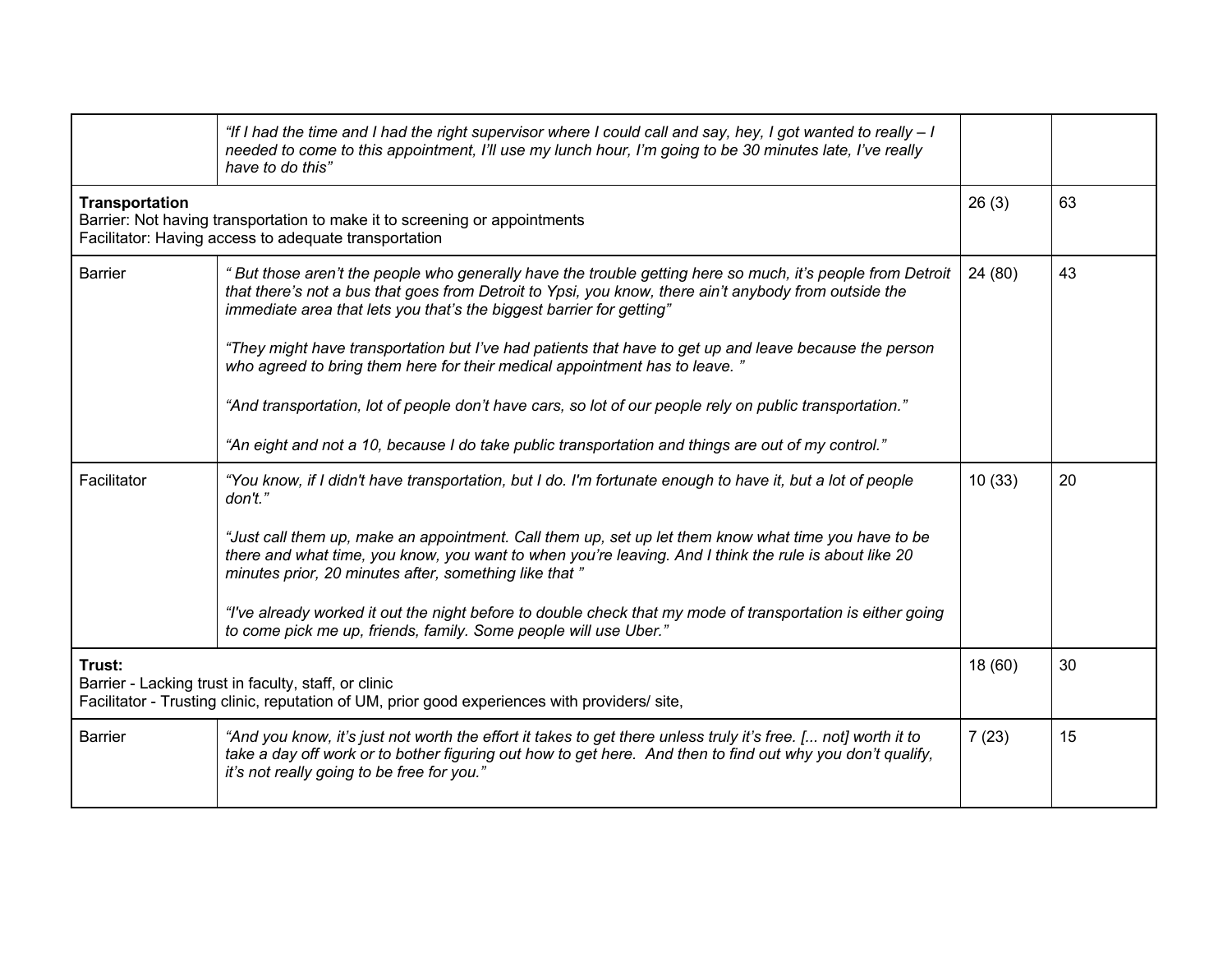|                                                                                                                                                                 | "If I had the time and I had the right supervisor where I could call and say, hey, I got wanted to really – I<br>needed to come to this appointment, I'll use my lunch hour, I'm going to be 30 minutes late, I've really<br>have to do this"                                                    |         |    |
|-----------------------------------------------------------------------------------------------------------------------------------------------------------------|--------------------------------------------------------------------------------------------------------------------------------------------------------------------------------------------------------------------------------------------------------------------------------------------------|---------|----|
| <b>Transportation</b><br>Barrier: Not having transportation to make it to screening or appointments<br>Facilitator: Having access to adequate transportation    |                                                                                                                                                                                                                                                                                                  | 26(3)   | 63 |
| <b>Barrier</b>                                                                                                                                                  | " But those aren't the people who generally have the trouble getting here so much, it's people from Detroit<br>that there's not a bus that goes from Detroit to Ypsi, you know, there ain't anybody from outside the<br>immediate area that lets you that's the biggest barrier for getting"     | 24 (80) | 43 |
|                                                                                                                                                                 | "They might have transportation but I've had patients that have to get up and leave because the person<br>who agreed to bring them here for their medical appointment has to leave."<br>"And transportation, lot of people don't have cars, so lot of our people rely on public transportation." |         |    |
|                                                                                                                                                                 | "An eight and not a 10, because I do take public transportation and things are out of my control."                                                                                                                                                                                               |         |    |
| Facilitator                                                                                                                                                     | "You know, if I didn't have transportation, but I do. I'm fortunate enough to have it, but a lot of people<br>don't."                                                                                                                                                                            | 10(33)  | 20 |
|                                                                                                                                                                 | "Just call them up, make an appointment. Call them up, set up let them know what time you have to be<br>there and what time, you know, you want to when you're leaving. And I think the rule is about like 20<br>minutes prior, 20 minutes after, something like that "                          |         |    |
|                                                                                                                                                                 | "I've already worked it out the night before to double check that my mode of transportation is either going<br>to come pick me up, friends, family. Some people will use Uber."                                                                                                                  |         |    |
| Trust:<br>Barrier - Lacking trust in faculty, staff, or clinic<br>Facilitator - Trusting clinic, reputation of UM, prior good experiences with providers/ site, |                                                                                                                                                                                                                                                                                                  | 18(60)  | 30 |
| <b>Barrier</b>                                                                                                                                                  | "And you know, it's just not worth the effort it takes to get there unless truly it's free. [ not] worth it to<br>take a day off work or to bother figuring out how to get here. And then to find out why you don't qualify,<br>it's not really going to be free for you."                       | 7(23)   | 15 |